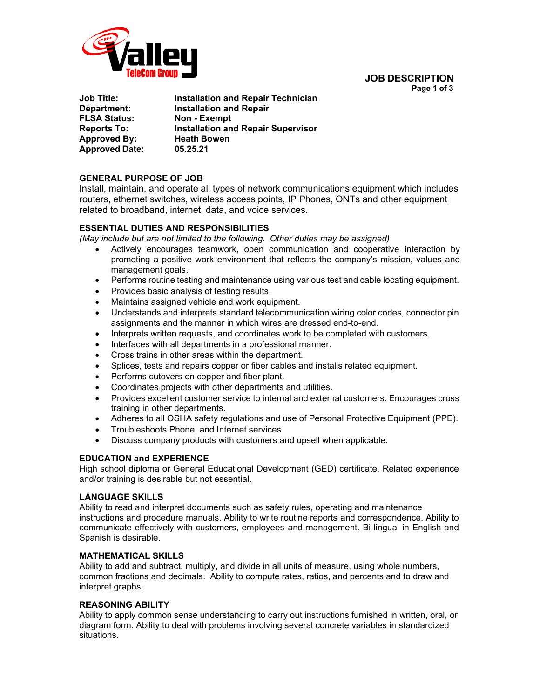

**JOB DESCRIPTION Page 1 of 3** 

**Job Title: Department: FLSA Status: Reports To: Approved By: Approved Date: Installation and Repair Technician Installation and Repair Non - Exempt Installation and Repair Supervisor Heath Bowen 05.25.21**

# **GENERAL PURPOSE OF JOB**

Install, maintain, and operate all types of network communications equipment which includes routers, ethernet switches, wireless access points, IP Phones, ONTs and other equipment related to broadband, internet, data, and voice services.

# **ESSENTIAL DUTIES AND RESPONSIBILITIES**

*(May include but are not limited to the following. Other duties may be assigned)*

- Actively encourages teamwork, open communication and cooperative interaction by promoting a positive work environment that reflects the company's mission, values and management goals.
- Performs routine testing and maintenance using various test and cable locating equipment.
- Provides basic analysis of testing results.
- Maintains assigned vehicle and work equipment.
- Understands and interprets standard telecommunication wiring color codes, connector pin assignments and the manner in which wires are dressed end-to-end.
- Interprets written requests, and coordinates work to be completed with customers.
- Interfaces with all departments in a professional manner.
- Cross trains in other areas within the department.
- Splices, tests and repairs copper or fiber cables and installs related equipment.
- Performs cutovers on copper and fiber plant.
- Coordinates projects with other departments and utilities.
- Provides excellent customer service to internal and external customers. Encourages cross training in other departments.
- Adheres to all OSHA safety regulations and use of Personal Protective Equipment (PPE).
- Troubleshoots Phone, and Internet services.
- Discuss company products with customers and upsell when applicable.

## **EDUCATION and EXPERIENCE**

High school diploma or General Educational Development (GED) certificate. Related experience and/or training is desirable but not essential.

# **LANGUAGE SKILLS**

Ability to read and interpret documents such as safety rules, operating and maintenance instructions and procedure manuals. Ability to write routine reports and correspondence. Ability to communicate effectively with customers, employees and management. Bi-lingual in English and Spanish is desirable.

## **MATHEMATICAL SKILLS**

Ability to add and subtract, multiply, and divide in all units of measure, using whole numbers, common fractions and decimals. Ability to compute rates, ratios, and percents and to draw and interpret graphs.

## **REASONING ABILITY**

Ability to apply common sense understanding to carry out instructions furnished in written, oral, or diagram form. Ability to deal with problems involving several concrete variables in standardized situations.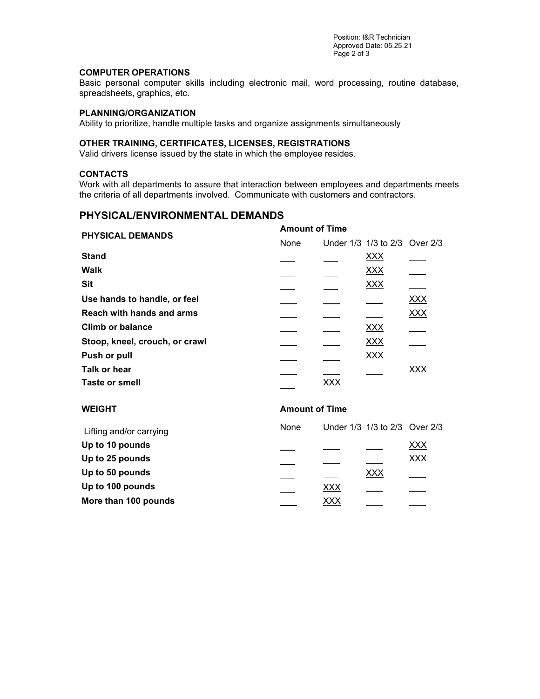Position: I&R Technician Approved Date: 05.25.21 Page 2 of 3

#### **COMPUTER OPERATIONS**

Basic personal computer skills including electronic mail, word processing, routine database, spreadsheets, graphics, etc.

## **PLANNING/ORGANIZATION**

Ability to prioritize, handle multiple tasks and organize assignments simultaneously

#### **OTHER TRAINING, CERTIFICATES, LICENSES, REGISTRATIONS**

Valid drivers license issued by the state in which the employee resides.

## **CONTACTS**

Work with all departments to assure that interaction between employees and departments meets the criteria of all departments involved. Communicate with customers and contractors.

# **PHYSICAL/ENVIRONMENTAL DEMANDS**

| <b>PHYSICAL DEMANDS</b>        | <b>Amount of Time</b> |            |                               |            |  |
|--------------------------------|-----------------------|------------|-------------------------------|------------|--|
|                                | None                  |            | Under 1/3 1/3 to 2/3 Over 2/3 |            |  |
| <b>Stand</b>                   |                       |            | <u>XXX</u>                    |            |  |
| Walk                           |                       |            | <b>XXX</b>                    |            |  |
| <b>Sit</b>                     |                       |            | <u>XXX</u>                    |            |  |
| Use hands to handle, or feel   |                       |            |                               | <u>XXX</u> |  |
| Reach with hands and arms      |                       |            |                               | <u>XXX</u> |  |
| <b>Climb or balance</b>        |                       |            | <u>XXX</u>                    |            |  |
| Stoop, kneel, crouch, or crawl |                       |            | <u>XXX</u>                    |            |  |
| Push or pull                   |                       |            | <u>XXX</u>                    |            |  |
| Talk or hear                   |                       |            |                               | <u>XXX</u> |  |
| <b>Taste or smell</b>          |                       | <u>XXX</u> |                               |            |  |
| <b>WEIGHT</b>                  | <b>Amount of Time</b> |            |                               |            |  |
| Lifting and/or carrying        | None                  |            | Under 1/3 1/3 to 2/3 Over 2/3 |            |  |
| Up to 10 pounds                |                       |            |                               | <u>XXX</u> |  |
| Up to 25 pounds                |                       |            |                               | <u>XXX</u> |  |
| Up to 50 pounds                |                       |            | <u>XXX</u>                    |            |  |
| Up to 100 pounds               |                       | <u>XXX</u> |                               |            |  |
| More than 100 pounds           |                       | <u>XXX</u> |                               |            |  |